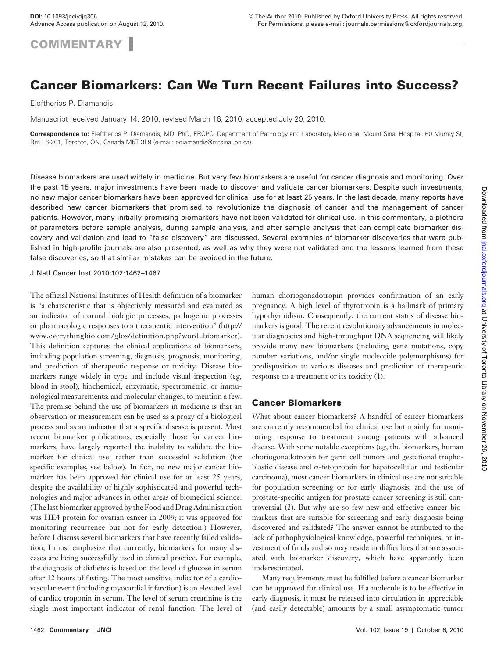# **COMMENTARY**

# Cancer Biomarkers: Can We Turn Recent Failures into Success?

Eleftherios P. Diamandis

Manuscript received January 14, 2010; revised March 16, 2010; accepted July 20, 2010.

**Correspondence to:** Eleftherios P. Diamandis, MD, PhD, FRCPC, Department of Pathology and Laboratory Medicine, Mount Sinai Hospital, 60 Murray St, Rm L6-201, Toronto, ON, Canada M5T 3L9 (e-mail: ediamandis@mtsinai.on.ca).

Disease biomarkers are used widely in medicine. But very few biomarkers are useful for cancer diagnosis and monitoring. Over the past 15 years, major investments have been made to discover and validate cancer biomarkers. Despite such investments, no new major cancer biomarkers have been approved for clinical use for at least 25 years. In the last decade, many reports have described new cancer biomarkers that promised to revolutionize the diagnosis of cancer and the management of cancer patients. However, many initially promising biomarkers have not been validated for clinical use. In this commentary, a plethora of parameters before sample analysis, during sample analysis, and after sample analysis that can complicate biomarker discovery and validation and lead to "false discovery" are discussed. Several examples of biomarker discoveries that were published in high-profile journals are also presented, as well as why they were not validated and the lessons learned from these false discoveries, so that similar mistakes can be avoided in the future.

J Natl Cancer Inst 2010;102:1462–1467

The official National Institutes of Health definition of a biomarker is "a characteristic that is objectively measured and evaluated as an indicator of normal biologic processes, pathogenic processes or pharmacologic responses to a therapeutic intervention" (http:// www.everythingbio.com/glos/definition.php?word=biomarker). This definition captures the clinical applications of biomarkers, including population screening, diagnosis, prognosis, monitoring, and prediction of therapeutic response or toxicity. Disease biomarkers range widely in type and include visual inspection (eg, blood in stool); biochemical, enzymatic, spectrometric, or immunological measurements; and molecular changes, to mention a few. The premise behind the use of biomarkers in medicine is that an observation or measurement can be used as a proxy of a biological process and as an indicator that a specific disease is present. Most recent biomarker publications, especially those for cancer biomarkers, have largely reported the inability to validate the biomarker for clinical use, rather than successful validation (for specific examples, see below). In fact, no new major cancer biomarker has been approved for clinical use for at least 25 years, despite the availability of highly sophisticated and powerful technologies and major advances in other areas of biomedical science. (The last biomarker approved by the Food and Drug Administration was HE4 protein for ovarian cancer in 2009; it was approved for monitoring recurrence but not for early detection.) However, before I discuss several biomarkers that have recently failed validation, I must emphasize that currently, biomarkers for many diseases are being successfully used in clinical practice. For example, the diagnosis of diabetes is based on the level of glucose in serum after 12 hours of fasting. The most sensitive indicator of a cardiovascular event (including myocardial infarction) is an elevated level of cardiac troponin in serum. The level of serum creatinine is the single most important indicator of renal function. The level of human choriogonadotropin provides confirmation of an early pregnancy. A high level of thyrotropin is a hallmark of primary hypothyroidism. Consequently, the current status of disease biomarkers is good. The recent revolutionary advancements in molecular diagnostics and high-throughput DNA sequencing will likely provide many new biomarkers (including gene mutations, copy number variations, and/or single nucleotide polymorphisms) for predisposition to various diseases and prediction of therapeutic response to a treatment or its toxicity (1).

# Cancer Biomarkers

What about cancer biomarkers? A handful of cancer biomarkers are currently recommended for clinical use but mainly for monitoring response to treatment among patients with advanced disease. With some notable exceptions (eg, the biomarkers, human choriogonadotropin for germ cell tumors and gestational trophoblastic disease and  $\alpha$ -fetoprotein for hepatocellular and testicular carcinoma), most cancer biomarkers in clinical use are not suitable for population screening or for early diagnosis, and the use of prostate-specific antigen for prostate cancer screening is still controversial (2). But why are so few new and effective cancer biomarkers that are suitable for screening and early diagnosis being discovered and validated? The answer cannot be attributed to the lack of pathophysiological knowledge, powerful techniques, or investment of funds and so may reside in difficulties that are associated with biomarker discovery, which have apparently been underestimated.

Many requirements must be fulfilled before a cancer biomarker can be approved for clinical use. If a molecule is to be effective in early diagnosis, it must be released into circulation in appreciable (and easily detectable) amounts by a small asymptomatic tumor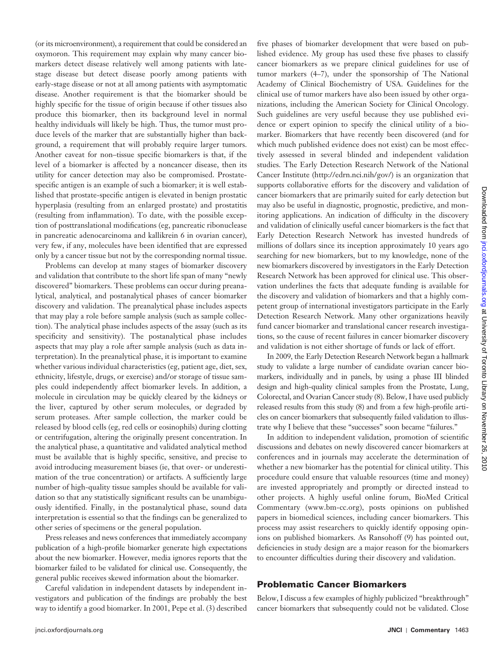(or its microenvironment), a requirement that could be considered an oxymoron. This requirement may explain why many cancer biomarkers detect disease relatively well among patients with latestage disease but detect disease poorly among patients with early-stage disease or not at all among patients with asymptomatic disease. Another requirement is that the biomarker should be highly specific for the tissue of origin because if other tissues also produce this biomarker, then its background level in normal healthy individuals will likely be high. Thus, the tumor must produce levels of the marker that are substantially higher than background, a requirement that will probably require larger tumors. Another caveat for non–tissue specific biomarkers is that, if the level of a biomarker is affected by a noncancer disease, then its utility for cancer detection may also be compromised. Prostatespecific antigen is an example of such a biomarker; it is well established that prostate-specific antigen is elevated in benign prostatic hyperplasia (resulting from an enlarged prostate) and prostatitis (resulting from inflammation). To date, with the possible exception of posttranslational modifications (eg, pancreatic ribonuclease in pancreatic adenocarcinoma and kallikrein 6 in ovarian cancer), very few, if any, molecules have been identified that are expressed only by a cancer tissue but not by the corresponding normal tissue.

Problems can develop at many stages of biomarker discovery and validation that contribute to the short life span of many "newly discovered" biomarkers. These problems can occur during preanalytical, analytical, and postanalytical phases of cancer biomarker discovery and validation. The preanalytical phase includes aspects that may play a role before sample analysis (such as sample collection). The analytical phase includes aspects of the assay (such as its specificity and sensitivity). The postanalytical phase includes aspects that may play a role after sample analysis (such as data interpretation). In the preanalytical phase, it is important to examine whether various individual characteristics (eg, patient age, diet, sex, ethnicity, lifestyle, drugs, or exercise) and/or storage of tissue samples could independently affect biomarker levels. In addition, a molecule in circulation may be quickly cleared by the kidneys or the liver, captured by other serum molecules, or degraded by serum proteases. After sample collection, the marker could be released by blood cells (eg, red cells or eosinophils) during clotting or centrifugation, altering the originally present concentration. In the analytical phase, a quantitative and validated analytical method must be available that is highly specific, sensitive, and precise to avoid introducing measurement biases (ie, that over- or underestimation of the true concentration) or artifacts. A sufficiently large number of high-quality tissue samples should be available for validation so that any statistically significant results can be unambiguously identified. Finally, in the postanalytical phase, sound data interpretation is essential so that the findings can be generalized to other series of specimens or the general population.

Press releases and news conferences that immediately accompany publication of a high-profile biomarker generate high expectations about the new biomarker. However, media ignores reports that the biomarker failed to be validated for clinical use. Consequently, the general public receives skewed information about the biomarker.

Careful validation in independent datasets by independent investigators and publication of the findings are probably the best way to identify a good biomarker. In 2001, Pepe et al. (3) described

five phases of biomarker development that were based on published evidence. My group has used these five phases to classify cancer biomarkers as we prepare clinical guidelines for use of tumor markers (4–7), under the sponsorship of The National Academy of Clinical Biochemistry of USA. Guidelines for the clinical use of tumor markers have also been issued by other organizations, including the American Society for Clinical Oncology. Such guidelines are very useful because they use published evidence or expert opinion to specify the clinical utility of a biomarker. Biomarkers that have recently been discovered (and for which much published evidence does not exist) can be most effectively assessed in several blinded and independent validation studies. The Early Detection Research Network of the National Cancer Institute (http://edrn.nci.nih/gov/) is an organization that supports collaborative efforts for the discovery and validation of cancer biomarkers that are primarily suited for early detection but may also be useful in diagnostic, prognostic, predictive, and monitoring applications. An indication of difficulty in the discovery and validation of clinically useful cancer biomarkers is the fact that Early Detection Research Network has invested hundreds of millions of dollars since its inception approximately 10 years ago searching for new biomarkers, but to my knowledge, none of the new biomarkers discovered by investigators in the Early Detection Research Network has been approved for clinical use. This observation underlines the facts that adequate funding is available for the discovery and validation of biomarkers and that a highly competent group of international investigators participate in the Early Detection Research Network. Many other organizations heavily fund cancer biomarker and translational cancer research investigations, so the cause of recent failures in cancer biomarker discovery and validation is not either shortage of funds or lack of effort.

In 2009, the Early Detection Research Network began a hallmark study to validate a large number of candidate ovarian cancer biomarkers, individually and in panels, by using a phase III blinded design and high-quality clinical samples from the Prostate, Lung, Colorectal, and Ovarian Cancer study (8). Below, I have used publicly released results from this study (8) and from a few high-profile articles on cancer biomarkers that subsequently failed validation to illustrate why I believe that these "successes" soon became "failures."

In addition to independent validation, promotion of scientific discussions and debates on newly discovered cancer biomarkers at conferences and in journals may accelerate the determination of whether a new biomarker has the potential for clinical utility. This procedure could ensure that valuable resources (time and money) are invested appropriately and promptly or directed instead to other projects. A highly useful online forum, BioMed Critical Commentary (www.bm-cc.org), posts opinions on published papers in biomedical sciences, including cancer biomarkers. This process may assist researchers to quickly identify opposing opinions on published biomarkers. As Ransohoff (9) has pointed out, deficiencies in study design are a major reason for the biomarkers to encounter difficulties during their discovery and validation.

# Problematic Cancer Biomarkers

Below, I discuss a few examples of highly publicized "breakthrough" cancer biomarkers that subsequently could not be validated. Close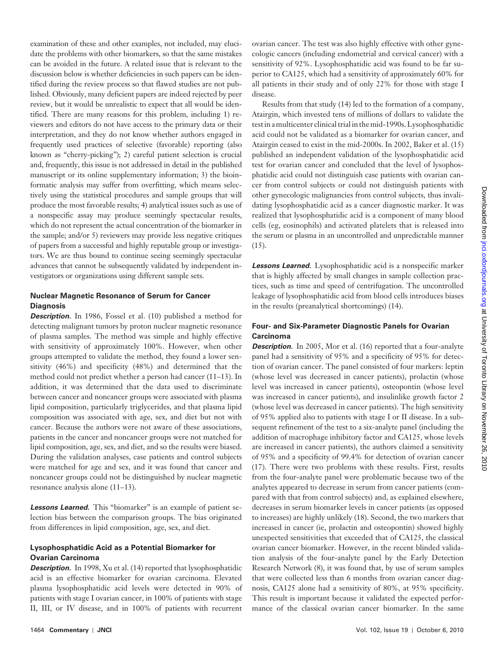examination of these and other examples, not included, may elucidate the problems with other biomarkers, so that the same mistakes can be avoided in the future. A related issue that is relevant to the discussion below is whether deficiencies in such papers can be identified during the review process so that flawed studies are not published. Obviously, many deficient papers are indeed rejected by peer review, but it would be unrealistic to expect that all would be identified. There are many reasons for this problem, including 1) reviewers and editors do not have access to the primary data or their interpretation, and they do not know whether authors engaged in frequently used practices of selective (favorable) reporting (also known as "cherry-picking"); 2) careful patient selection is crucial and, frequently, this issue is not addressed in detail in the published manuscript or its online supplementary information; 3) the bioinformatic analysis may suffer from overfitting, which means selectively using the statistical procedures and sample groups that will produce the most favorable results; 4) analytical issues such as use of a nonspecific assay may produce seemingly spectacular results, which do not represent the actual concentration of the biomarker in the sample; and/or 5) reviewers may provide less negative critiques of papers from a successful and highly reputable group or investigators. We are thus bound to continue seeing seemingly spectacular advances that cannot be subsequently validated by independent investigators or organizations using different sample sets.

#### **Nuclear Magnetic Resonance of Serum for Cancer Diagnosis**

**Description.** In 1986, Fossel et al. (10) published a method for detecting malignant tumors by proton nuclear magnetic resonance of plasma samples. The method was simple and highly effective with sensitivity of approximately 100%. However, when other groups attempted to validate the method, they found a lower sensitivity (46%) and specificity (48%) and determined that the method could not predict whether a person had cancer (11–13). In addition, it was determined that the data used to discriminate between cancer and noncancer groups were associated with plasma lipid composition, particularly triglycerides, and that plasma lipid composition was associated with age, sex, and diet but not with cancer. Because the authors were not aware of these associations, patients in the cancer and noncancer groups were not matched for lipid composition, age, sex, and diet, and so the results were biased. During the validation analyses, case patients and control subjects were matched for age and sex, and it was found that cancer and noncancer groups could not be distinguished by nuclear magnetic resonance analysis alone (11–13).

*Lessons Learned.*  This "biomarker" is an example of patient selection bias between the comparison groups. The bias originated from differences in lipid composition, age, sex, and diet.

## **Lysophosphatidic Acid as a Potential Biomarker for Ovarian Carcinoma**

**Description.** In 1998, Xu et al. (14) reported that lysophosphatidic acid is an effective biomarker for ovarian carcinoma. Elevated plasma lysophosphatidic acid levels were detected in 90% of patients with stage I ovarian cancer, in 100% of patients with stage II, III, or IV disease, and in 100% of patients with recurrent

ovarian cancer. The test was also highly effective with other gynecologic cancers (including endometrial and cervical cancer) with a sensitivity of 92%. Lysophosphatidic acid was found to be far superior to CA125, which had a sensitivity of approximately 60% for all patients in their study and of only 22% for those with stage I disease.

Results from that study (14) led to the formation of a company, Atairgin, which invested tens of millions of dollars to validate the test in a multicenter clinical trial in the mid-1990s. Lysophosphatidic acid could not be validated as a biomarker for ovarian cancer, and Atairgin ceased to exist in the mid-2000s. In 2002, Baker et al. (15) published an independent validation of the lysophosphatidic acid test for ovarian cancer and concluded that the level of lysophosphatidic acid could not distinguish case patients with ovarian cancer from control subjects or could not distinguish patients with other gynecologic malignancies from control subjects, thus invalidating lysophosphatidic acid as a cancer diagnostic marker. It was realized that lysophosphatidic acid is a component of many blood cells (eg, eosinophils) and activated platelets that is released into the serum or plasma in an uncontrolled and unpredictable manner (15).

*Lessons Learned.*  Lysophosphatidic acid is a nonspecific marker that is highly affected by small changes in sample collection practices, such as time and speed of centrifugation. The uncontrolled leakage of lysophosphatidic acid from blood cells introduces biases in the results (preanalytical shortcomings) (14).

## **Four- and Six-Parameter Diagnostic Panels for Ovarian Carcinoma**

**Description.** In 2005, Mor et al. (16) reported that a four-analyte panel had a sensitivity of 95% and a specificity of 95% for detection of ovarian cancer. The panel consisted of four markers: leptin (whose level was decreased in cancer patients), prolactin (whose level was increased in cancer patients), osteopontin (whose level was increased in cancer patients), and insulinlike growth factor 2 (whose level was decreased in cancer patients). The high sensitivity of 95% applied also to patients with stage I or II disease. In a subsequent refinement of the test to a six-analyte panel (including the addition of macrophage inhibitory factor and CA125, whose levels are increased in cancer patients), the authors claimed a sensitivity of 95% and a specificity of 99.4% for detection of ovarian cancer (17). There were two problems with these results. First, results from the four-analyte panel were problematic because two of the analytes appeared to decrease in serum from cancer patients (compared with that from control subjects) and, as explained elsewhere, decreases in serum biomarker levels in cancer patients (as opposed to increases) are highly unlikely (18). Second, the two markers that increased in cancer (ie, prolactin and osteopontin) showed highly unexpected sensitivities that exceeded that of CA125, the classical ovarian cancer biomarker. However, in the recent blinded validation analysis of the four-analyte panel by the Early Detection Research Network (8), it was found that, by use of serum samples that were collected less than 6 months from ovarian cancer diagnosis, CA125 alone had a sensitivity of 80%, at 95% specificity. This result is important because it validated the expected performance of the classical ovarian cancer biomarker. In the same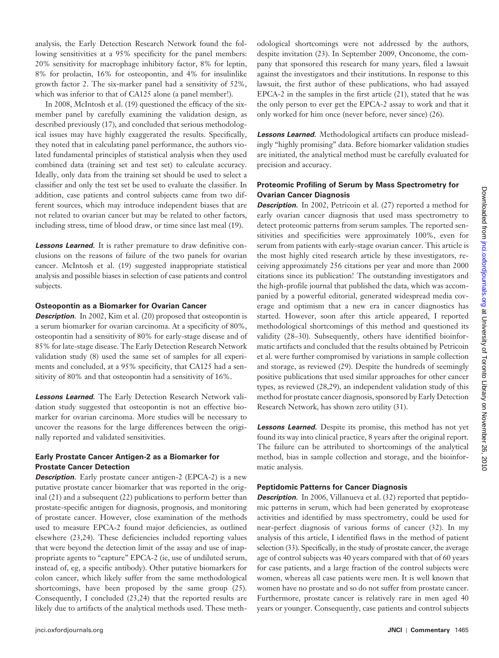analysis, the Early Detection Research Network found the following sensitivities at a 95% specificity for the panel members: 20% sensitivity for macrophage inhibitory factor, 8% for leptin, 8% for prolactin, 16% for osteopontin, and 4% for insulinlike growth factor 2. The six-marker panel had a sensitivity of 52%, which was inferior to that of CA125 alone (a panel member!).

In 2008, McIntosh et al. (19) questioned the efficacy of the sixmember panel by carefully examining the validation design, as described previously (17), and concluded that serious methodological issues may have highly exaggerated the results. Specifically, they noted that in calculating panel performance, the authors violated fundamental principles of statistical analysis when they used combined data (training set and test set) to calculate accuracy. Ideally, only data from the training set should be used to select a classifier and only the test set be used to evaluate the classifier. In addition, case patients and control subjects came from two different sources, which may introduce independent biases that are not related to ovarian cancer but may be related to other factors, including stress, time of blood draw, or time since last meal (19).

*Lessons Learned.*  It is rather premature to draw definitive conclusions on the reasons of failure of the two panels for ovarian cancer. McIntosh et al. (19) suggested inappropriate statistical analysis and possible biases in selection of case patients and control subjects.

#### **Osteopontin as a Biomarker for Ovarian Cancer**

**Description.** In 2002, Kim et al. (20) proposed that osteopontin is a serum biomarker for ovarian carcinoma. At a specificity of 80%, osteopontin had a sensitivity of 80% for early-stage disease and of 85% for late-stage disease. The Early Detection Research Network validation study (8) used the same set of samples for all experiments and concluded, at a 95% specificity, that CA125 had a sensitivity of 80% and that osteopontin had a sensitivity of 16%.

*Lessons Learned.*  The Early Detection Research Network validation study suggested that osteopontin is not an effective biomarker for ovarian carcinoma. More studies will be necessary to uncover the reasons for the large differences between the originally reported and validated sensitivities.

#### **Early Prostate Cancer Antigen-2 as a Biomarker for Prostate Cancer Detection**

**Description.** Early prostate cancer antigen-2 (EPCA-2) is a new putative prostate cancer biomarker that was reported in the original (21) and a subsequent (22) publications to perform better than prostate-specific antigen for diagnosis, prognosis, and monitoring of prostate cancer. However, close examination of the methods used to measure EPCA-2 found major deficiencies, as outlined elsewhere (23,24). These deficiencies included reporting values that were beyond the detection limit of the assay and use of inappropriate agents to "capture" EPCA-2 (ie, use of undiluted serum, instead of, eg, a specific antibody). Other putative biomarkers for colon cancer, which likely suffer from the same methodological shortcomings, have been proposed by the same group (25). Consequently, I concluded (23,24) that the reported results are likely due to artifacts of the analytical methods used. These meth-

odological shortcomings were not addressed by the authors, despite invitation (23). In September 2009, Onconome, the company that sponsored this research for many years, filed a lawsuit against the investigators and their institutions. In response to this lawsuit, the first author of these publications, who had assayed EPCA-2 in the samples in the first article (21), stated that he was the only person to ever get the EPCA-2 assay to work and that it only worked for him once (never before, never since) (26).

*Lessons Learned.*  Methodological artifacts can produce misleadingly "highly promising" data. Before biomarker validation studies are initiated, the analytical method must be carefully evaluated for precision and accuracy.

#### **Proteomic Profiling of Serum by Mass Spectrometry for Ovarian Cancer Diagnosis**

**Description.** In 2002, Petricoin et al. (27) reported a method for early ovarian cancer diagnosis that used mass spectrometry to detect proteomic patterns from serum samples. The reported sensitivities and specificities were approximately 100%, even for serum from patients with early-stage ovarian cancer. This article is the most highly cited research article by these investigators, receiving approximately 256 citations per year and more than 2000 citations since its publication! The outstanding investigators and the high-profile journal that published the data, which was accompanied by a powerful editorial, generated widespread media coverage and optimism that a new era in cancer diagnostics has started. However, soon after this article appeared, I reported methodological shortcomings of this method and questioned its validity (28–30). Subsequently, others have identified bioinformatic artifacts and concluded that the results obtained by Petricoin et al. were further compromised by variations in sample collection and storage, as reviewed (29). Despite the hundreds of seemingly positive publications that used similar approaches for other cancer types, as reviewed (28,29), an independent validation study of this method for prostate cancer diagnosis, sponsored by Early Detection Research Network, has shown zero utility (31).

*Lessons Learned.*  Despite its promise, this method has not yet found its way into clinical practice, 8 years after the original report. The failure can be attributed to shortcomings of the analytical method, bias in sample collection and storage, and the bioinformatic analysis.

#### **Peptidomic Patterns for Cancer Diagnosis**

**Description.** In 2006, Villanueva et al. (32) reported that peptidomic patterns in serum, which had been generated by exoprotease activities and identified by mass spectrometry, could be used for near-perfect diagnosis of various forms of cancer (32). In my analysis of this article, I identified flaws in the method of patient selection (33). Specifically, in the study of prostate cancer, the average age of control subjects was 40 years compared with that of 60 years for case patients, and a large fraction of the control subjects were women, whereas all case patients were men. It is well known that women have no prostate and so do not suffer from prostate cancer. Furthermore, prostate cancer is relatively rare in men aged 40 years or younger. Consequently, case patients and control subjects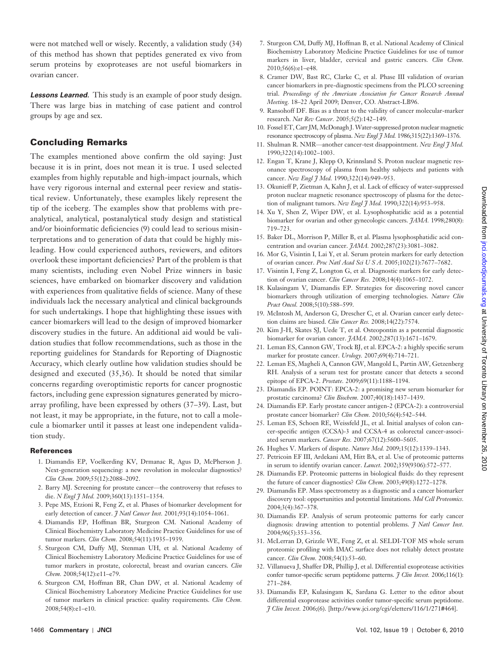were not matched well or wisely. Recently, a validation study (34) of this method has shown that peptides generated ex vivo from serum proteins by exoproteases are not useful biomarkers in ovarian cancer.

*Lessons Learned.*  This study is an example of poor study design. There was large bias in matching of case patient and control groups by age and sex.

# Concluding Remarks

The examples mentioned above confirm the old saying: Just because it is in print, does not mean it is true. I used selected examples from highly reputable and high-impact journals, which have very rigorous internal and external peer review and statistical review. Unfortunately, these examples likely represent the tip of the iceberg. The examples show that problems with preanalytical, analytical, postanalytical study design and statistical and/or bioinformatic deficiencies (9) could lead to serious misinterpretations and to generation of data that could be highly misleading. How could experienced authors, reviewers, and editors overlook these important deficiencies? Part of the problem is that many scientists, including even Nobel Prize winners in basic sciences, have embarked on biomarker discovery and validation with experiences from qualitative fields of science. Many of these individuals lack the necessary analytical and clinical backgrounds for such undertakings. I hope that highlighting these issues with cancer biomarkers will lead to the design of improved biomarker discovery studies in the future. An additional aid would be validation studies that follow recommendations, such as those in the reporting guidelines for Standards for Reporting of Diagnostic Accuracy, which clearly outline how validation studies should be designed and executed (35,36). It should be noted that similar concerns regarding overoptimistic reports for cancer prognostic factors, including gene expression signatures generated by microarray profiling, have been expressed by others (37–39). Last, but not least, it may be appropriate, in the future, not to call a molecule a biomarker until it passes at least one independent validation study.

#### **References**

- 1. Diamandis EP, Voelkerding KV, Drmanac R, Agus D, McPherson J. Next-generation sequencing: a new revolution in molecular diagnostics? *Clin Chem.* 2009;55(12):2088–2092.
- 2. Barry MJ. Screening for prostate cancer—the controversy that refuses to die. *N Engl J Med.* 2009;360(13):1351–1354.
- 3. Pepe MS, Etzioni R, Feng Z, et al. Phases of biomarker development for early detection of cancer. *J Natl Cancer Inst.* 2001;93(14):1054–1061.
- 4. Diamandis EP, Hoffman BR, Sturgeon CM. National Academy of Clinical Biochemistry Laboratory Medicine Practice Guidelines for use of tumor markers. *Clin Chem.* 2008;54(11):1935–1939.
- 5. Sturgeon CM, Duffy MJ, Stenman UH, et al. National Academy of Clinical Biochemistry Laboratory Medicine Practice Guidelines for use of tumor markers in prostate, colorectal, breast and ovarian cancers. *Clin Chem.* 2008;54(12):e11–e79.
- 6. Sturgeon CM, Hoffman BR, Chan DW, et al. National Academy of Clinical Biochemistry Laboratory Medicine Practice Guidelines for use of tumor markers in clinical practice: quality requirements. *Clin Chem.*  2008;54(8):e1–e10.
- 7. Sturgeon CM, Duffy MJ, Hoffman B, et al. National Academy of Clinical Biochemistry Laboratory Medicine Practice Guidelines for use of tumor markers in liver, bladder, cervical and gastric cancers. *Clin Chem.*  2010;56(6):e1–e48.
- 8. Cramer DW, Bast RC, Clarke C, et al. Phase III validation of ovarian cancer biomarkers in pre-diagnostic specimens from the PLCO screening trial. *Proceedings of the American Association for Cancer Research Annual Meeting.* 18–22 April 2009; Denver, CO. Abstract-LB96.
- 9. Ransohoff DF. Bias as a threat to the validity of cancer molecular-marker research. *Nat Rev Cancer.* 2005;5(2):142–149.
- 10. Fossel ET, Carr JM, McDonagh J. Water-suppressed proton nuclear magnetic resonance spectroscopy of plasma. *New Engl J Med.* 1986;315(22):1369–1376.
- 11. Shulman R. NMR—another cancer-test disappointment. *New Engl J Med.* 1990;322(14):1002–1003.
- 12. Engan T, Krane J, Klepp O, Krinnsland S. Proton nuclear magnetic resonance spectroscopy of plasma from healthy subjects and patients with cancer. *New Engl J Med.* 1990;322(14):949–953.
- 13. Okunieff P, Zietman A, Kahn J, et al. Lack of efficacy of water-suppressed proton nuclear magnetic resonance spectroscopy of plasma for the detection of malignant tumors. *New Engl J Med.* 1990;322(14):953–958.
- 14. Xu Y, Shen Z, Wiper DW, et al. Lysophosphatidic acid as a potential biomarker for ovarian and other gynecologic cancers. *JAMA.* 1998;280(8): 719–723.
- 15. Baker DL, Morrison P, Miller B, et al. Plasma lysophosphatidic acid concentration and ovarian cancer. *JAMA.* 2002;287(23):3081–3082.
- 16. Mor G, Visintin I, Lai Y, et al. Serum protein markers for early detection of ovarian cancer. *Proc Natl Acad Sci U S A.* 2005;102(21):7677–7682.
- 17. Visintin I, Feng Z, Longton G, et al. Diagnostic markers for early detection of ovarian cancer. *Clin Cancer Res.* 2008;14(4):1065–1072.
- 18. Kulasingam V, Diamandis EP. Strategies for discovering novel cancer biomarkers through utilization of emerging technologies. *Nature Clin Pract Oncol.* 2008;5(10):588–599.
- 19. McIntosh M, Anderson G, Drescher C, et al. Ovarian cancer early detection claims are biased. *Clin Cancer Res.* 2008;14(22):7574.
- 20. Kim J-H, Skates SJ, Uede T, et al. Osteopontin as a potential diagnostic biomarker for ovarian cancer. *JAMA.* 2002;287(13):1671–1679.
- 21. Leman ES, Cannon GW, Trock BJ, et al. EPCA-2: a highly specific serum marker for prostate cancer. *Urology.* 2007;69(4):714–721.
- 22. Leman ES, Magheli A, Cannon GW, Mangold L, Partin AW, Getzenberg RH. Analysis of a serum test for prostate cancer that detects a second epitope of EPCA-2. *Prostate.* 2009;69(11):1188–1194.
- 23. Diamandis EP. POINT: EPCA-2: a promising new serum biomarker for prostatic carcinoma? *Clin Biochem.* 2007;40(18):1437–1439.
- 24. Diamandis EP. Early prostate cancer antigen-2 (EPCA-2): a controversial prostate cancer biomarker? *Clin Chem.* 2010;56(4):542–544.
- 25. Leman ES, Schoen RE, Weissfeld JL, et al. Initial analyses of colon cancer-specific antigen (CCSA)-3 and CCSA-4 as colorectal cancer-associated serum markers. *Cancer Res.* 2007;67(12):5600–5605.
- 26. Hughes V. Markers of dispute. *Nature Med.* 2009;15(12):1339–1343.
- 27. Petricoin EF III, Ardekani AM, Hitt BA, et al. Use of proteomic patterns in serum to identify ovarian cancer. *Lancet.* 2002;359(9306):572–577.
- 28. Diamandis EP. Proteomic patterns in biological fluids: do they represent the future of cancer diagnostics? *Clin Chem.* 2003;49(8):1272–1278.
- 29. Diamandis EP. Mass spectrometry as a diagnostic and a cancer biomarker discovery tool: opportunities and potential limitations. *Mol Cell Proteomics.* 2004;3(4):367–378.
- 30. Diamandis EP. Analysis of serum proteomic patterns for early cancer diagnosis: drawing attention to potential problems. *J Natl Cancer Inst.*  2004;96(5):353–356.
- 31. McLerran D, Grizzle WE, Feng Z, et al. SELDI-TOF MS whole serum proteomic profiling with IMAC surface does not reliably detect prostate cancer. *Clin Chem.* 2008;54(1):53–60.
- 32. Villanueva J, Shaffer DR, Phillip J, et al. Differential exoprotease activities confer tumor-specific serum peptidome patterns. *J Clin Invest.* 2006;116(1): 271–284.
- 33. Diamandis EP, Kulasingam K, Sardana G. Letter to the editor about differential exoprotease activities confer tumor-specific serum peptidome. *J Clin Invest.* 2006;(6). [http://www.jci.org/cgi/eletters/116/1/271#464].